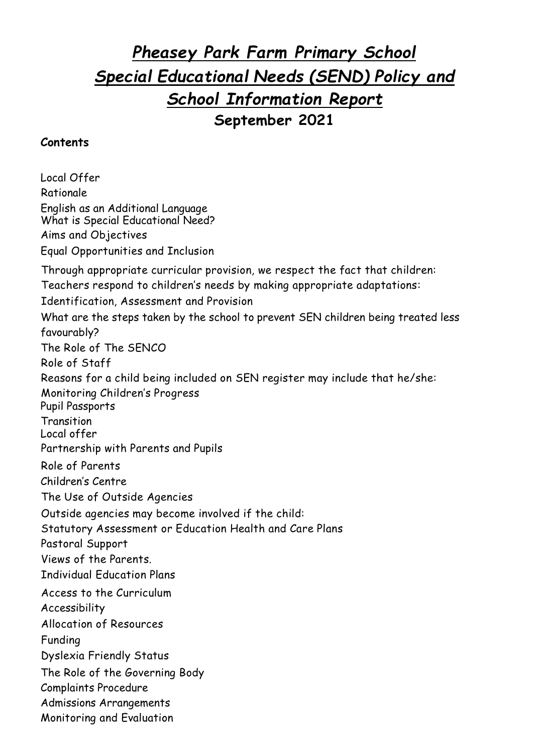# *Pheasey Park Farm Primary School Special Educational Needs (SEND) Policy and School Information Report* **September 2021**

#### **Contents**

Local Offer Rationale English as an Additional Language What is Special Educational Need? Aims and Objectives Equal Opportunities and Inclusion Through appropriate curricular provision, we respect the fact that children: Teachers respond to children's needs by making appropriate adaptations: Identification, Assessment and Provision What are the steps taken by the school to prevent SEN children being treated less favourably? The Role of The SENCO Role of Staff Reasons for a child being included on SEN register may include that he/she: Monitoring Children's Progress Pupil Passports **Transition** Local offer Partnership with Parents and Pupils Role of Parents Children's Centre The Use of Outside Agencies Outside agencies may become involved if the child: Statutory Assessment or Education Health and Care Plans Pastoral Support Views of the Parents. Individual Education Plans Access to the Curriculum Accessibility Allocation of Resources Funding Dyslexia Friendly Status The Role of the Governing Body Complaints Procedure Admissions Arrangements Monitoring and Evaluation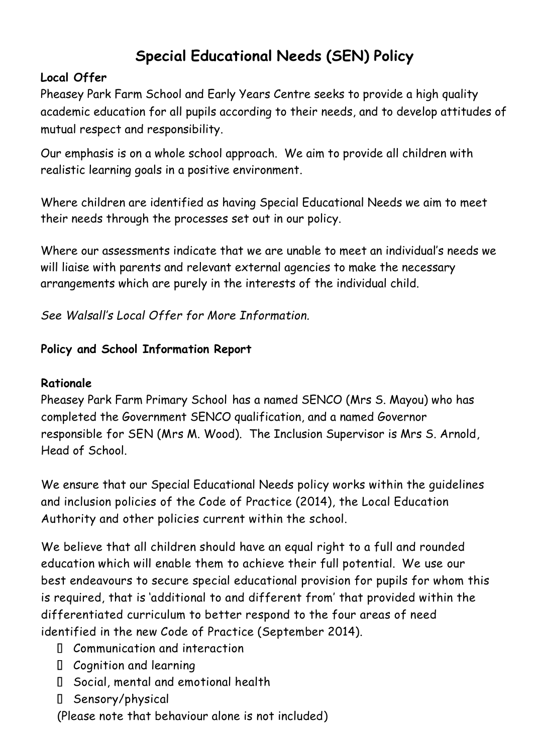# **Special Educational Needs (SEN) Policy**

## **Local Offer**

Pheasey Park Farm School and Early Years Centre seeks to provide a high quality academic education for all pupils according to their needs, and to develop attitudes of mutual respect and responsibility.

Our emphasis is on a whole school approach. We aim to provide all children with realistic learning goals in a positive environment.

Where children are identified as having Special Educational Needs we aim to meet their needs through the processes set out in our policy.

Where our assessments indicate that we are unable to meet an individual's needs we will liaise with parents and relevant external agencies to make the necessary arrangements which are purely in the interests of the individual child.

*See Walsall's Local Offer for More Information.*

## **Policy and School Information Report**

## **Rationale**

Pheasey Park Farm Primary School has a named SENCO (Mrs S. Mayou) who has completed the Government SENCO qualification, and a named Governor responsible for SEN (Mrs M. Wood). The Inclusion Supervisor is Mrs S. Arnold, Head of School.

We ensure that our Special Educational Needs policy works within the guidelines and inclusion policies of the Code of Practice (2014), the Local Education Authority and other policies current within the school.

We believe that all children should have an equal right to a full and rounded education which will enable them to achieve their full potential. We use our best endeavours to secure special educational provision for pupils for whom this is required, that is 'additional to and different from' that provided within the differentiated curriculum to better respond to the four areas of need identified in the new Code of Practice (September 2014).

- Communication and interaction
- Cognition and learning
- Social, mental and emotional health
- Sensory/physical

(Please note that behaviour alone is not included)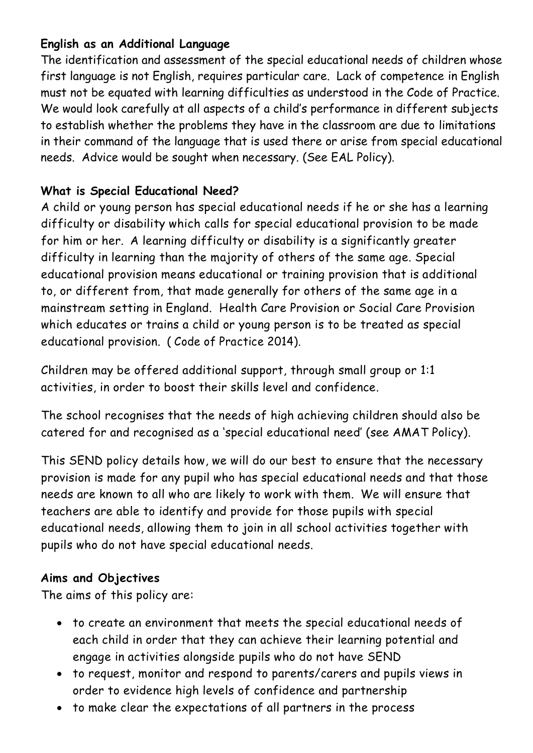## **English as an Additional Language**

The identification and assessment of the special educational needs of children whose first language is not English, requires particular care. Lack of competence in English must not be equated with learning difficulties as understood in the Code of Practice. We would look carefully at all aspects of a child's performance in different subjects to establish whether the problems they have in the classroom are due to limitations in their command of the language that is used there or arise from special educational needs. Advice would be sought when necessary. (See EAL Policy).

## **What is Special Educational Need?**

A child or young person has special educational needs if he or she has a learning difficulty or disability which calls for special educational provision to be made for him or her. A learning difficulty or disability is a significantly greater difficulty in learning than the majority of others of the same age. Special educational provision means educational or training provision that is additional to, or different from, that made generally for others of the same age in a mainstream setting in England. Health Care Provision or Social Care Provision which educates or trains a child or young person is to be treated as special educational provision. ( Code of Practice 2014).

Children may be offered additional support, through small group or 1:1 activities, in order to boost their skills level and confidence.

The school recognises that the needs of high achieving children should also be catered for and recognised as a 'special educational need' (see AMAT Policy).

This SEND policy details how, we will do our best to ensure that the necessary provision is made for any pupil who has special educational needs and that those needs are known to all who are likely to work with them. We will ensure that teachers are able to identify and provide for those pupils with special educational needs, allowing them to join in all school activities together with pupils who do not have special educational needs.

## **Aims and Objectives**

The aims of this policy are:

- to create an environment that meets the special educational needs of each child in order that they can achieve their learning potential and engage in activities alongside pupils who do not have SEND
- to request, monitor and respond to parents/carers and pupils views in order to evidence high levels of confidence and partnership
- to make clear the expectations of all partners in the process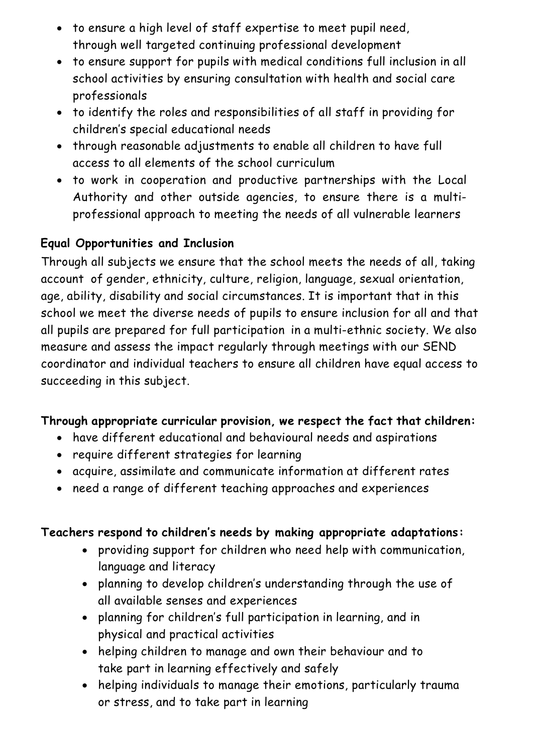- to ensure a high level of staff expertise to meet pupil need, through well targeted continuing professional development
- to ensure support for pupils with medical conditions full inclusion in all school activities by ensuring consultation with health and social care professionals
- to identify the roles and responsibilities of all staff in providing for children's special educational needs
- through reasonable adjustments to enable all children to have full access to all elements of the school curriculum
- to work in cooperation and productive partnerships with the Local Authority and other outside agencies, to ensure there is a multiprofessional approach to meeting the needs of all vulnerable learners

## **Equal Opportunities and Inclusion**

Through all subjects we ensure that the school meets the needs of all, taking account of gender, ethnicity, culture, religion, language, sexual orientation, age, ability, disability and social circumstances. It is important that in this school we meet the diverse needs of pupils to ensure inclusion for all and that all pupils are prepared for full participation in a multi-ethnic society. We also measure and assess the impact regularly through meetings with our SEND coordinator and individual teachers to ensure all children have equal access to succeeding in this subject.

## **Through appropriate curricular provision, we respect the fact that children:**

- have different educational and behavioural needs and aspirations
- require different strategies for learning
- acquire, assimilate and communicate information at different rates
- need a range of different teaching approaches and experiences

## **Teachers respond to children's needs by making appropriate adaptations:**

- providing support for children who need help with communication, language and literacy
- planning to develop children's understanding through the use of all available senses and experiences
- planning for children's full participation in learning, and in physical and practical activities
- helping children to manage and own their behaviour and to take part in learning effectively and safely
- helping individuals to manage their emotions, particularly trauma or stress, and to take part in learning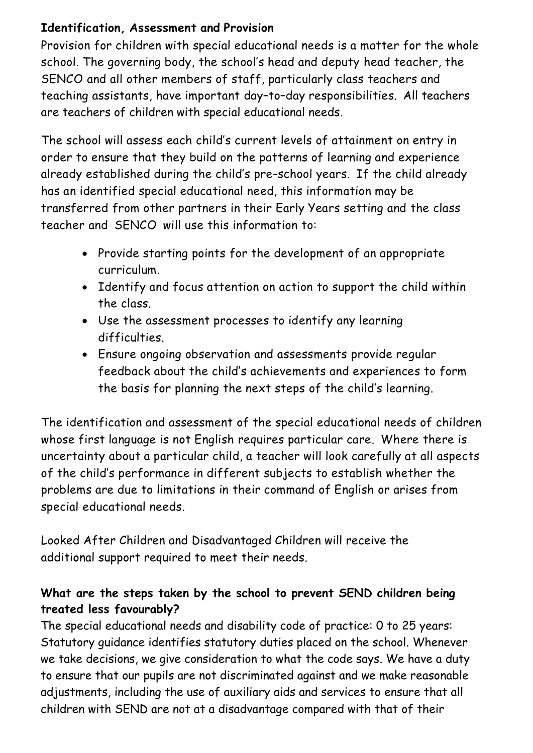## **Identification, Assessment and Provision**

Provision for children with special educational needs is a matter for the whole school. The governing body, the school's head and deputy head teacher, the SENCO and all other members of staff, particularly class teachers and teaching assistants, have important day–to–day responsibilities. All teachers are teachers of children with special educational needs.

The school will assess each child's current levels of attainment on entry in order to ensure that they build on the patterns of learning and experience already established during the child's pre-school years. If the child already has an identified special educational need, this information may be transferred from other partners in their Early Years setting and the class teacher and SENCO will use this information to:

- Provide starting points for the development of an appropriate curriculum.
- Identify and focus attention on action to support the child within the class.
- Use the assessment processes to identify any learning difficulties.
- Ensure ongoing observation and assessments provide regular feedback about the child's achievements and experiences to form the basis for planning the next steps of the child's learning.

The identification and assessment of the special educational needs of children whose first language is not English requires particular care. Where there is uncertainty about a particular child, a teacher will look carefully at all aspects of the child's performance in different subjects to establish whether the problems are due to limitations in their command of English or arises from special educational needs.

Looked After Children and Disadvantaged Children will receive the additional support required to meet their needs.

# **What are the steps taken by the school to prevent SEND children being treated less favourably?**

The special educational needs and disability code of practice: 0 to 25 years: Statutory guidance identifies statutory duties placed on the school. Whenever we take decisions, we give consideration to what the code says. We have a duty to ensure that our pupils are not discriminated against and we make reasonable adjustments, including the use of auxiliary aids and services to ensure that all children with SEND are not at a disadvantage compared with that of their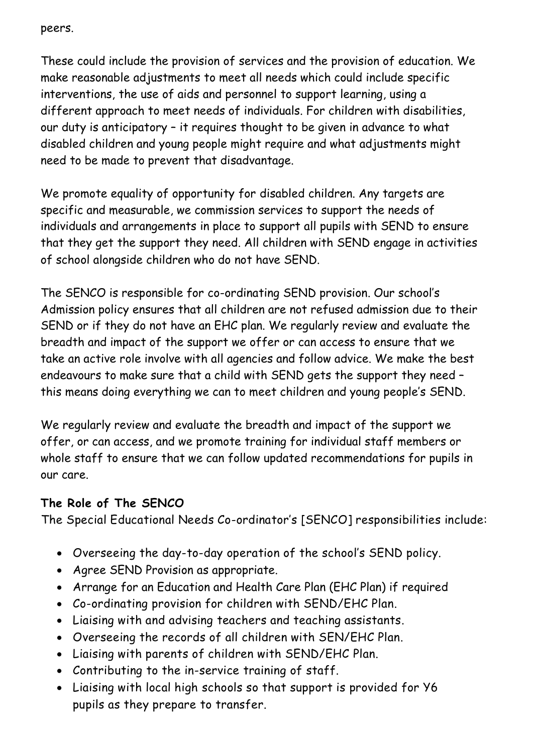peers.

These could include the provision of services and the provision of education. We make reasonable adjustments to meet all needs which could include specific interventions, the use of aids and personnel to support learning, using a different approach to meet needs of individuals. For children with disabilities, our duty is anticipatory – it requires thought to be given in advance to what disabled children and young people might require and what adjustments might need to be made to prevent that disadvantage.

We promote equality of opportunity for disabled children. Any targets are specific and measurable, we commission services to support the needs of individuals and arrangements in place to support all pupils with SEND to ensure that they get the support they need. All children with SEND engage in activities of school alongside children who do not have SEND.

The SENCO is responsible for co-ordinating SEND provision. Our school's Admission policy ensures that all children are not refused admission due to their SEND or if they do not have an EHC plan. We regularly review and evaluate the breadth and impact of the support we offer or can access to ensure that we take an active role involve with all agencies and follow advice. We make the best endeavours to make sure that a child with SEND gets the support they need – this means doing everything we can to meet children and young people's SEND.

We regularly review and evaluate the breadth and impact of the support we offer, or can access, and we promote training for individual staff members or whole staff to ensure that we can follow updated recommendations for pupils in our care.

## **The Role of The SENCO**

The Special Educational Needs Co-ordinator's [SENCO] responsibilities include:

- Overseeing the day-to-day operation of the school's SEND policy.
- Agree SEND Provision as appropriate.
- Arrange for an Education and Health Care Plan (EHC Plan) if required
- Co-ordinating provision for children with SEND/EHC Plan.
- Liaising with and advising teachers and teaching assistants.
- Overseeing the records of all children with SEN/EHC Plan.
- Liaising with parents of children with SEND/EHC Plan.
- Contributing to the in-service training of staff.
- Liaising with local high schools so that support is provided for Y6 pupils as they prepare to transfer.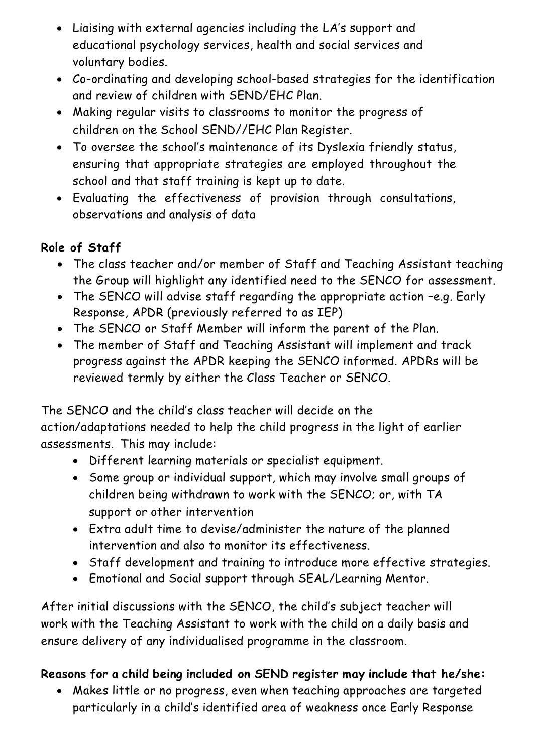- Liaising with external agencies including the LA's support and educational psychology services, health and social services and voluntary bodies.
- Co-ordinating and developing school-based strategies for the identification and review of children with SEND/EHC Plan.
- Making regular visits to classrooms to monitor the progress of children on the School SEND//EHC Plan Register.
- To oversee the school's maintenance of its Dyslexia friendly status, ensuring that appropriate strategies are employed throughout the school and that staff training is kept up to date.
- Evaluating the effectiveness of provision through consultations, observations and analysis of data

# **Role of Staff**

- The class teacher and/or member of Staff and Teaching Assistant teaching the Group will highlight any identified need to the SENCO for assessment.
- The SENCO will advise staff regarding the appropriate action –e.g. Early Response, APDR (previously referred to as IEP)
- The SENCO or Staff Member will inform the parent of the Plan.
- The member of Staff and Teaching Assistant will implement and track progress against the APDR keeping the SENCO informed. APDRs will be reviewed termly by either the Class Teacher or SENCO.

The SENCO and the child's class teacher will decide on the action/adaptations needed to help the child progress in the light of earlier assessments. This may include:

- Different learning materials or specialist equipment.
- Some group or individual support, which may involve small groups of children being withdrawn to work with the SENCO; or, with TA support or other intervention
- Extra adult time to devise/administer the nature of the planned intervention and also to monitor its effectiveness.
- Staff development and training to introduce more effective strategies.
- Emotional and Social support through SEAL/Learning Mentor.

After initial discussions with the SENCO, the child's subject teacher will work with the Teaching Assistant to work with the child on a daily basis and ensure delivery of any individualised programme in the classroom.

# **Reasons for a child being included on SEND register may include that he/she:**

• Makes little or no progress, even when teaching approaches are targeted particularly in a child's identified area of weakness once Early Response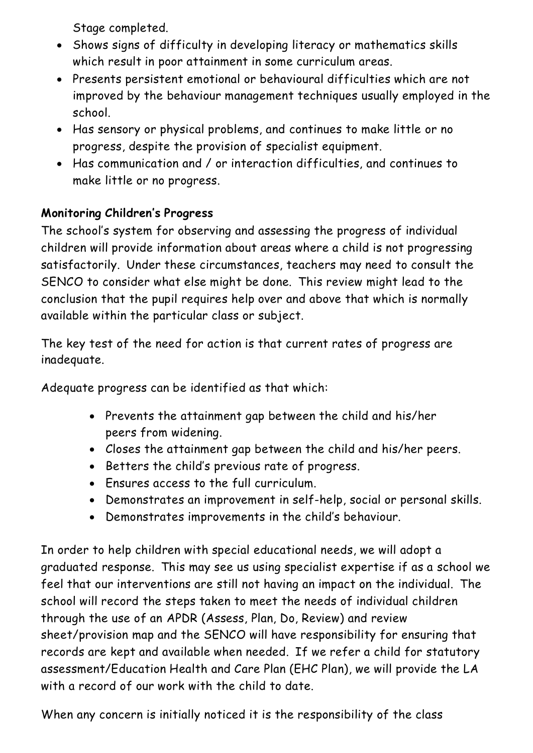Stage completed.

- Shows signs of difficulty in developing literacy or mathematics skills which result in poor attainment in some curriculum areas.
- Presents persistent emotional or behavioural difficulties which are not improved by the behaviour management techniques usually employed in the school.
- Has sensory or physical problems, and continues to make little or no progress, despite the provision of specialist equipment.
- Has communication and / or interaction difficulties, and continues to make little or no progress.

## **Monitoring Children's Progress**

The school's system for observing and assessing the progress of individual children will provide information about areas where a child is not progressing satisfactorily. Under these circumstances, teachers may need to consult the SENCO to consider what else might be done. This review might lead to the conclusion that the pupil requires help over and above that which is normally available within the particular class or subject.

The key test of the need for action is that current rates of progress are inadequate.

Adequate progress can be identified as that which:

- Prevents the attainment gap between the child and his/her peers from widening.
- Closes the attainment gap between the child and his/her peers.
- Betters the child's previous rate of progress.
- Ensures access to the full curriculum.
- Demonstrates an improvement in self-help, social or personal skills.
- Demonstrates improvements in the child's behaviour.

In order to help children with special educational needs, we will adopt a graduated response. This may see us using specialist expertise if as a school we feel that our interventions are still not having an impact on the individual. The school will record the steps taken to meet the needs of individual children through the use of an APDR (Assess, Plan, Do, Review) and review sheet/provision map and the SENCO will have responsibility for ensuring that records are kept and available when needed. If we refer a child for statutory assessment/Education Health and Care Plan (EHC Plan), we will provide the LA with a record of our work with the child to date.

When any concern is initially noticed it is the responsibility of the class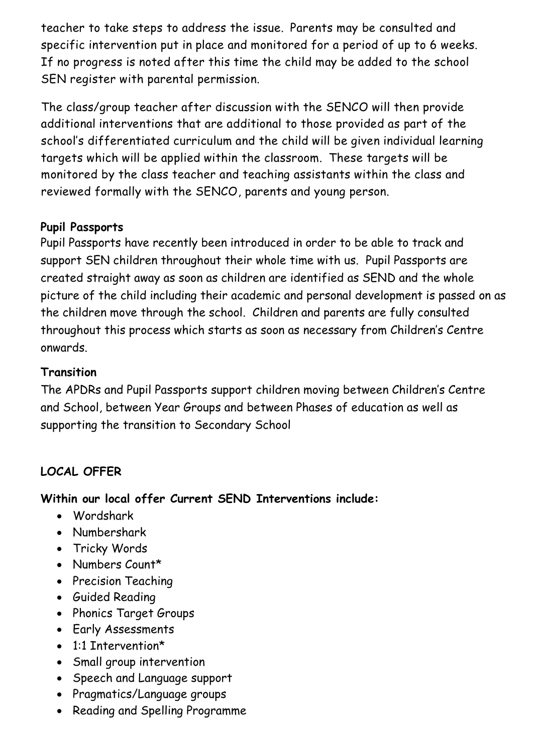teacher to take steps to address the issue. Parents may be consulted and specific intervention put in place and monitored for a period of up to 6 weeks. If no progress is noted after this time the child may be added to the school SEN register with parental permission.

The class/group teacher after discussion with the SENCO will then provide additional interventions that are additional to those provided as part of the school's differentiated curriculum and the child will be given individual learning targets which will be applied within the classroom. These targets will be monitored by the class teacher and teaching assistants within the class and reviewed formally with the SENCO, parents and young person.

## **Pupil Passports**

Pupil Passports have recently been introduced in order to be able to track and support SEN children throughout their whole time with us. Pupil Passports are created straight away as soon as children are identified as SEND and the whole picture of the child including their academic and personal development is passed on as the children move through the school. Children and parents are fully consulted throughout this process which starts as soon as necessary from Children's Centre onwards.

# **Transition**

The APDRs and Pupil Passports support children moving between Children's Centre and School, between Year Groups and between Phases of education as well as supporting the transition to Secondary School

# **LOCAL OFFER**

# **Within our local offer Current SEND Interventions include:**

- Wordshark
- Numbershark
- Tricky Words
- Numbers Count\*
- Precision Teaching
- Guided Reading
- Phonics Target Groups
- Early Assessments
- 1:1 Intervention\*
- Small group intervention
- Speech and Language support
- Pragmatics/Language groups
- Reading and Spelling Programme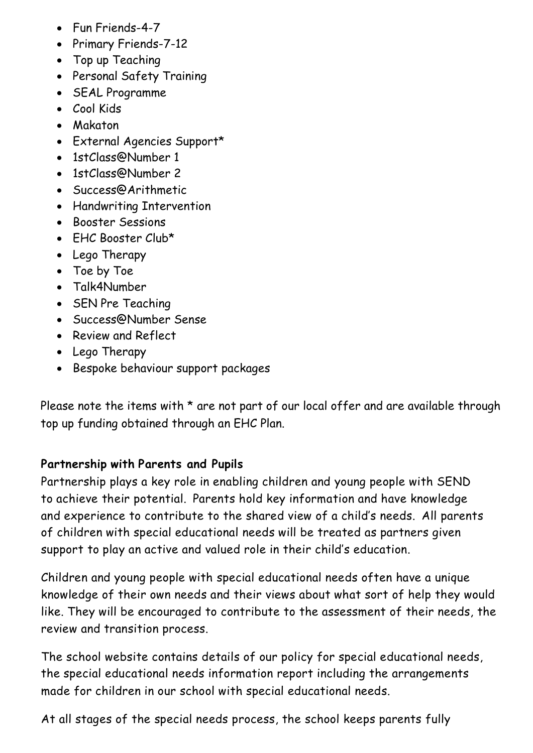- Fun Friends-4-7
- Primary Friends-7-12
- Top up Teaching
- Personal Safety Training
- SEAL Programme
- Cool Kids
- Makaton
- External Agencies Support\*
- 1stClass@Number 1
- 1stClass@Number 2
- Success@Arithmetic
- Handwriting Intervention
- Booster Sessions
- EHC Booster Club\*
- Lego Therapy
- Toe by Toe
- Talk4Number
- SEN Pre Teaching
- Success@Number Sense
- Review and Reflect
- Lego Therapy
- Bespoke behaviour support packages

Please note the items with  $*$  are not part of our local offer and are available through top up funding obtained through an EHC Plan.

## **Partnership with Parents and Pupils**

Partnership plays a key role in enabling children and young people with SEND to achieve their potential. Parents hold key information and have knowledge and experience to contribute to the shared view of a child's needs. All parents of children with special educational needs will be treated as partners given support to play an active and valued role in their child's education.

Children and young people with special educational needs often have a unique knowledge of their own needs and their views about what sort of help they would like. They will be encouraged to contribute to the assessment of their needs, the review and transition process.

The school website contains details of our policy for special educational needs, the special educational needs information report including the arrangements made for children in our school with special educational needs.

At all stages of the special needs process, the school keeps parents fully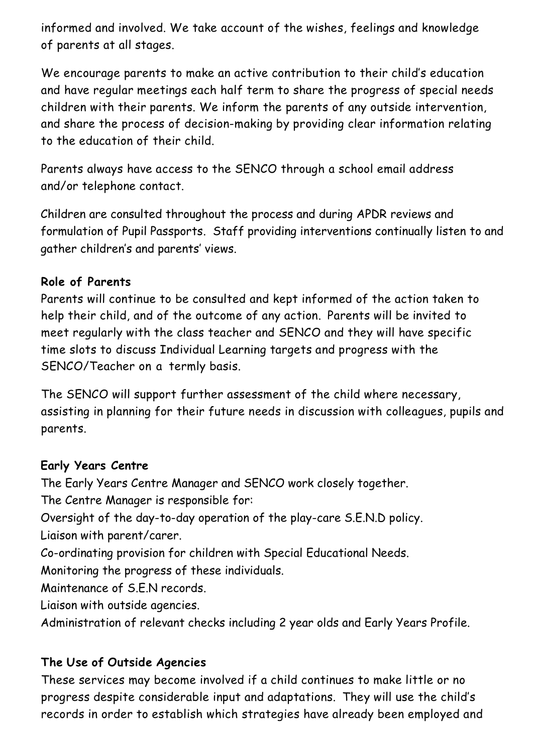informed and involved. We take account of the wishes, feelings and knowledge of parents at all stages.

We encourage parents to make an active contribution to their child's education and have regular meetings each half term to share the progress of special needs children with their parents. We inform the parents of any outside intervention, and share the process of decision-making by providing clear information relating to the education of their child.

Parents always have access to the SENCO through a school email address and/or telephone contact.

Children are consulted throughout the process and during APDR reviews and formulation of Pupil Passports. Staff providing interventions continually listen to and gather children's and parents' views.

## **Role of Parents**

Parents will continue to be consulted and kept informed of the action taken to help their child, and of the outcome of any action. Parents will be invited to meet regularly with the class teacher and SENCO and they will have specific time slots to discuss Individual Learning targets and progress with the SENCO/Teacher on a termly basis.

The SENCO will support further assessment of the child where necessary, assisting in planning for their future needs in discussion with colleagues, pupils and parents.

#### **Early Years Centre**

The Early Years Centre Manager and SENCO work closely together. The Centre Manager is responsible for: Oversight of the day-to-day operation of the play-care S.E.N.D policy. Liaison with parent/carer. Co-ordinating provision for children with Special Educational Needs. Monitoring the progress of these individuals. Maintenance of S.E.N records. Liaison with outside agencies.

Administration of relevant checks including 2 year olds and Early Years Profile.

## **The Use of Outside Agencies**

These services may become involved if a child continues to make little or no progress despite considerable input and adaptations. They will use the child's records in order to establish which strategies have already been employed and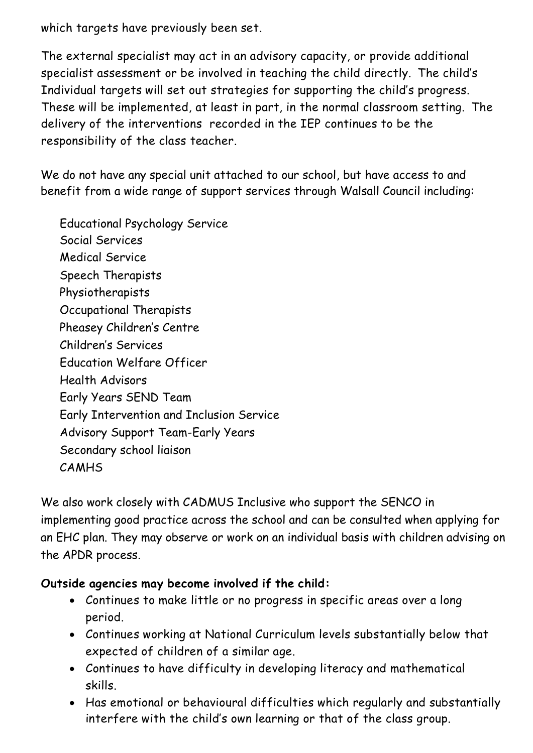which targets have previously been set.

The external specialist may act in an advisory capacity, or provide additional specialist assessment or be involved in teaching the child directly. The child's Individual targets will set out strategies for supporting the child's progress. These will be implemented, at least in part, in the normal classroom setting. The delivery of the interventions recorded in the IEP continues to be the responsibility of the class teacher.

We do not have any special unit attached to our school, but have access to and benefit from a wide range of support services through Walsall Council including:

Educational Psychology Service Social Services Medical Service Speech Therapists Physiotherapists Occupational Therapists Pheasey Children's Centre Children's Services Education Welfare Officer Health Advisors Early Years SEND Team Early Intervention and Inclusion Service Advisory Support Team-Early Years Secondary school liaison CAMHS

We also work closely with CADMUS Inclusive who support the SENCO in implementing good practice across the school and can be consulted when applying for an EHC plan. They may observe or work on an individual basis with children advising on the APDR process.

## **Outside agencies may become involved if the child:**

- Continues to make little or no progress in specific areas over a long period.
- Continues working at National Curriculum levels substantially below that expected of children of a similar age.
- Continues to have difficulty in developing literacy and mathematical skills.
- Has emotional or behavioural difficulties which regularly and substantially interfere with the child's own learning or that of the class group.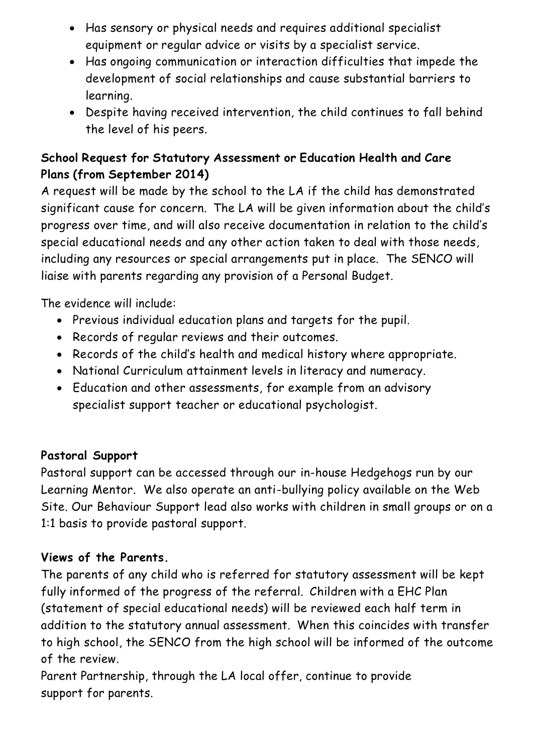- Has sensory or physical needs and requires additional specialist equipment or regular advice or visits by a specialist service.
- Has ongoing communication or interaction difficulties that impede the development of social relationships and cause substantial barriers to learning.
- Despite having received intervention, the child continues to fall behind the level of his peers.

# **School Request for Statutory Assessment or Education Health and Care Plans (from September 2014)**

A request will be made by the school to the LA if the child has demonstrated significant cause for concern. The LA will be given information about the child's progress over time, and will also receive documentation in relation to the child's special educational needs and any other action taken to deal with those needs, including any resources or special arrangements put in place. The SENCO will liaise with parents regarding any provision of a Personal Budget.

The evidence will include:

- Previous individual education plans and targets for the pupil.
- Records of regular reviews and their outcomes.
- Records of the child's health and medical history where appropriate.
- National Curriculum attainment levels in literacy and numeracy.
- Education and other assessments, for example from an advisory specialist support teacher or educational psychologist.

# **Pastoral Support**

Pastoral support can be accessed through our in-house Hedgehogs run by our Learning Mentor. We also operate an anti-bullying policy available on the Web Site. Our Behaviour Support lead also works with children in small groups or on a 1:1 basis to provide pastoral support.

# **Views of the Parents.**

The parents of any child who is referred for statutory assessment will be kept fully informed of the progress of the referral. Children with a EHC Plan (statement of special educational needs) will be reviewed each half term in addition to the statutory annual assessment. When this coincides with transfer to high school, the SENCO from the high school will be informed of the outcome of the review.

Parent Partnership, through the LA local offer, continue to provide support for parents.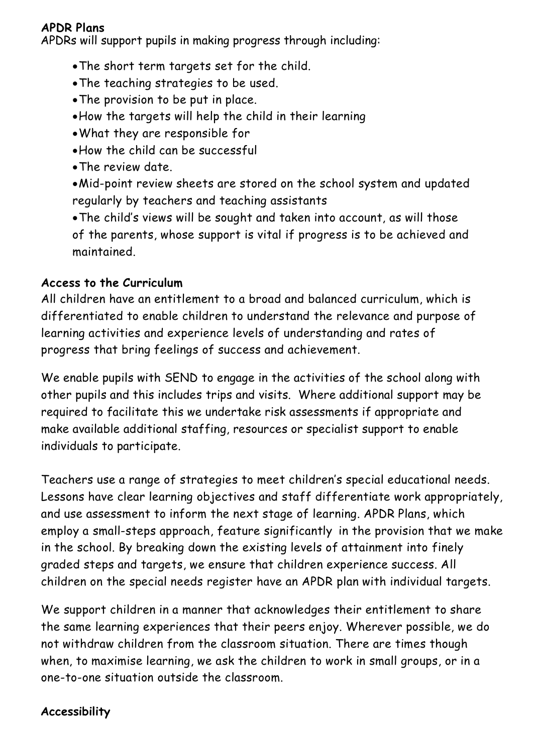#### **APDR Plans**

APDRs will support pupils in making progress through including:

- •The short term targets set for the child.
- •The teaching strategies to be used.
- •The provision to be put in place.
- •How the targets will help the child in their learning
- •What they are responsible for
- •How the child can be successful
- •The review date.
- •Mid-point review sheets are stored on the school system and updated regularly by teachers and teaching assistants

•The child's views will be sought and taken into account, as will those of the parents, whose support is vital if progress is to be achieved and maintained.

## **Access to the Curriculum**

All children have an entitlement to a broad and balanced curriculum, which is differentiated to enable children to understand the relevance and purpose of learning activities and experience levels of understanding and rates of progress that bring feelings of success and achievement.

We enable pupils with SEND to engage in the activities of the school along with other pupils and this includes trips and visits. Where additional support may be required to facilitate this we undertake risk assessments if appropriate and make available additional staffing, resources or specialist support to enable individuals to participate.

Teachers use a range of strategies to meet children's special educational needs. Lessons have clear learning objectives and staff differentiate work appropriately, and use assessment to inform the next stage of learning. APDR Plans, which employ a small-steps approach, feature significantly in the provision that we make in the school. By breaking down the existing levels of attainment into finely graded steps and targets, we ensure that children experience success. All children on the special needs register have an APDR plan with individual targets.

We support children in a manner that acknowledges their entitlement to share the same learning experiences that their peers enjoy. Wherever possible, we do not withdraw children from the classroom situation. There are times though when, to maximise learning, we ask the children to work in small groups, or in a one-to-one situation outside the classroom.

# **Accessibility**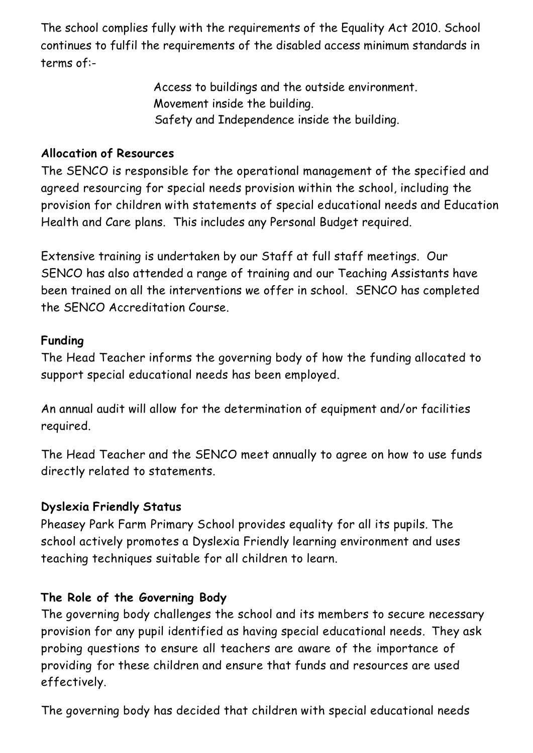The school complies fully with the requirements of the Equality Act 2010. School continues to fulfil the requirements of the disabled access minimum standards in terms of:-

> Access to buildings and the outside environment. Movement inside the building. Safety and Independence inside the building.

## **Allocation of Resources**

The SENCO is responsible for the operational management of the specified and agreed resourcing for special needs provision within the school, including the provision for children with statements of special educational needs and Education Health and Care plans. This includes any Personal Budget required.

Extensive training is undertaken by our Staff at full staff meetings. Our SENCO has also attended a range of training and our Teaching Assistants have been trained on all the interventions we offer in school. SENCO has completed the SENCO Accreditation Course.

## **Funding**

The Head Teacher informs the governing body of how the funding allocated to support special educational needs has been employed.

An annual audit will allow for the determination of equipment and/or facilities required.

The Head Teacher and the SENCO meet annually to agree on how to use funds directly related to statements.

## **Dyslexia Friendly Status**

Pheasey Park Farm Primary School provides equality for all its pupils. The school actively promotes a Dyslexia Friendly learning environment and uses teaching techniques suitable for all children to learn.

## **The Role of the Governing Body**

The governing body challenges the school and its members to secure necessary provision for any pupil identified as having special educational needs. They ask probing questions to ensure all teachers are aware of the importance of providing for these children and ensure that funds and resources are used effectively.

The governing body has decided that children with special educational needs